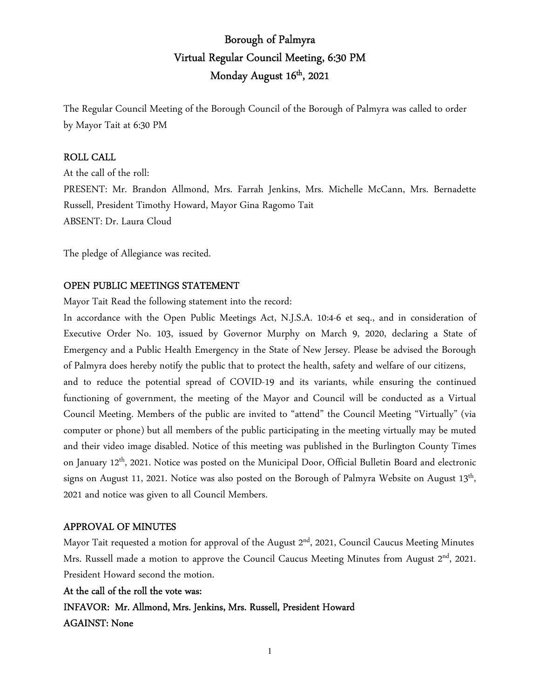# Borough of Palmyra Virtual Regular Council Meeting, 6:30 PM Monday August 16<sup>th</sup>, 2021

The Regular Council Meeting of the Borough Council of the Borough of Palmyra was called to order by Mayor Tait at 6:30 PM

## ROLL CALL

At the call of the roll: PRESENT: Mr. Brandon Allmond, Mrs. Farrah Jenkins, Mrs. Michelle McCann, Mrs. Bernadette Russell, President Timothy Howard, Mayor Gina Ragomo Tait ABSENT: Dr. Laura Cloud

The pledge of Allegiance was recited.

## OPEN PUBLIC MEETINGS STATEMENT

Mayor Tait Read the following statement into the record:

In accordance with the Open Public Meetings Act, N.J.S.A. 10:4-6 et seq., and in consideration of Executive Order No. 103, issued by Governor Murphy on March 9, 2020, declaring a State of Emergency and a Public Health Emergency in the State of New Jersey. Please be advised the Borough of Palmyra does hereby notify the public that to protect the health, safety and welfare of our citizens,

and to reduce the potential spread of COVID-19 and its variants, while ensuring the continued functioning of government, the meeting of the Mayor and Council will be conducted as a Virtual Council Meeting. Members of the public are invited to "attend" the Council Meeting "Virtually" (via computer or phone) but all members of the public participating in the meeting virtually may be muted and their video image disabled. Notice of this meeting was published in the Burlington County Times on January 12th, 2021. Notice was posted on the Municipal Door, Official Bulletin Board and electronic signs on August 11, 2021. Notice was also posted on the Borough of Palmyra Website on August  $13^{\text{th}}$ , 2021 and notice was given to all Council Members.

### APPROVAL OF MINUTES

Mayor Tait requested a motion for approval of the August 2<sup>nd</sup>, 2021, Council Caucus Meeting Minutes Mrs. Russell made a motion to approve the Council Caucus Meeting Minutes from August 2<sup>nd</sup>, 2021. President Howard second the motion.

### At the call of the roll the vote was:

INFAVOR: Mr. Allmond, Mrs. Jenkins, Mrs. Russell, President Howard AGAINST: None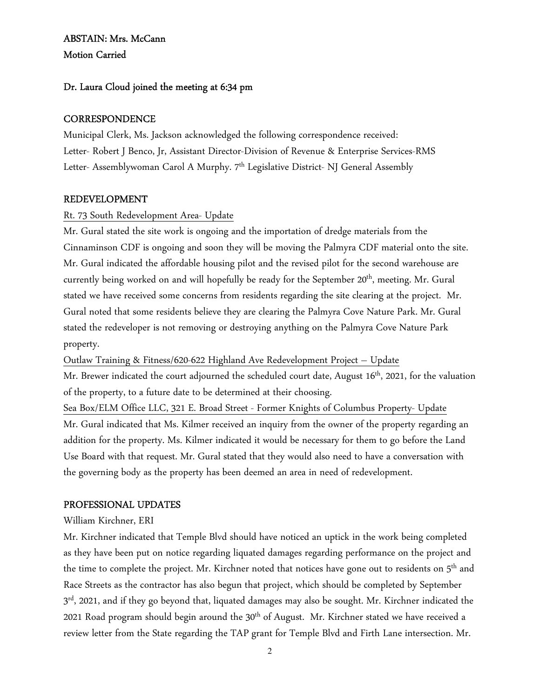## ABSTAIN: Mrs. McCann Motion Carried

## Dr. Laura Cloud joined the meeting at 6:34 pm

## **CORRESPONDENCE**

Municipal Clerk, Ms. Jackson acknowledged the following correspondence received: Letter- Robert J Benco, Jr, Assistant Director-Division of Revenue & Enterprise Services-RMS Letter- Assemblywoman Carol A Murphy. 7<sup>th</sup> Legislative District- NJ General Assembly

## REDEVELOPMENT

## Rt. 73 South Redevelopment Area- Update

Mr. Gural stated the site work is ongoing and the importation of dredge materials from the Cinnaminson CDF is ongoing and soon they will be moving the Palmyra CDF material onto the site. Mr. Gural indicated the affordable housing pilot and the revised pilot for the second warehouse are currently being worked on and will hopefully be ready for the September 20<sup>th</sup>, meeting. Mr. Gural stated we have received some concerns from residents regarding the site clearing at the project. Mr. Gural noted that some residents believe they are clearing the Palmyra Cove Nature Park. Mr. Gural stated the redeveloper is not removing or destroying anything on the Palmyra Cove Nature Park property.

Outlaw Training & Fitness/620-622 Highland Ave Redevelopment Project – Update Mr. Brewer indicated the court adjourned the scheduled court date, August 16<sup>th</sup>, 2021, for the valuation of the property, to a future date to be determined at their choosing. Sea Box/ELM Office LLC, 321 E. Broad Street - Former Knights of Columbus Property- Update

Mr. Gural indicated that Ms. Kilmer received an inquiry from the owner of the property regarding an addition for the property. Ms. Kilmer indicated it would be necessary for them to go before the Land Use Board with that request. Mr. Gural stated that they would also need to have a conversation with the governing body as the property has been deemed an area in need of redevelopment.

## PROFESSIONAL UPDATES

## William Kirchner, ERI

Mr. Kirchner indicated that Temple Blvd should have noticed an uptick in the work being completed as they have been put on notice regarding liquated damages regarding performance on the project and the time to complete the project. Mr. Kirchner noted that notices have gone out to residents on  $5<sup>th</sup>$  and Race Streets as the contractor has also begun that project, which should be completed by September  $3^{\rm rd}$ , 2021, and if they go beyond that, liquated damages may also be sought. Mr. Kirchner indicated the 2021 Road program should begin around the  $30<sup>th</sup>$  of August. Mr. Kirchner stated we have received a review letter from the State regarding the TAP grant for Temple Blvd and Firth Lane intersection. Mr.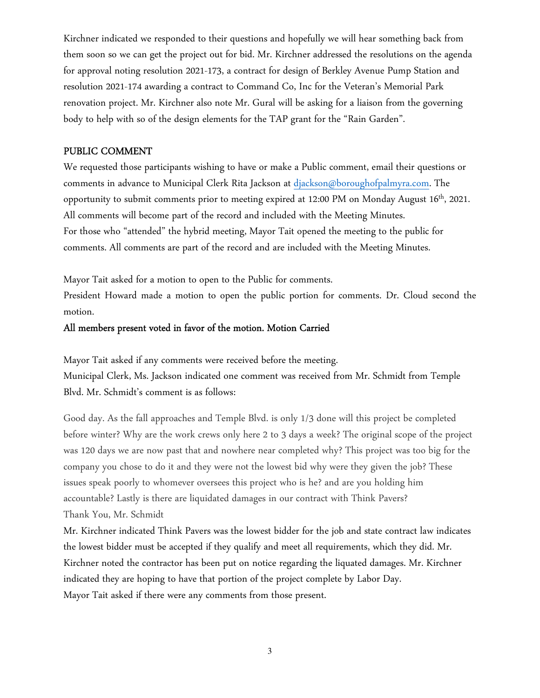Kirchner indicated we responded to their questions and hopefully we will hear something back from them soon so we can get the project out for bid. Mr. Kirchner addressed the resolutions on the agenda for approval noting resolution 2021-173, a contract for design of Berkley Avenue Pump Station and resolution 2021-174 awarding a contract to Command Co, Inc for the Veteran's Memorial Park renovation project. Mr. Kirchner also note Mr. Gural will be asking for a liaison from the governing body to help with so of the design elements for the TAP grant for the "Rain Garden".

### PUBLIC COMMENT

We requested those participants wishing to have or make a Public comment, email their questions or comments in advance to Municipal Clerk Rita Jackson at djackson@boroughofpalmyra.com. The opportunity to submit comments prior to meeting expired at 12:00 PM on Monday August 16th, 2021. All comments will become part of the record and included with the Meeting Minutes. For those who "attended" the hybrid meeting, Mayor Tait opened the meeting to the public for comments. All comments are part of the record and are included with the Meeting Minutes.

Mayor Tait asked for a motion to open to the Public for comments.

President Howard made a motion to open the public portion for comments. Dr. Cloud second the motion.

### All members present voted in favor of the motion. Motion Carried

Mayor Tait asked if any comments were received before the meeting. Municipal Clerk, Ms. Jackson indicated one comment was received from Mr. Schmidt from Temple Blvd. Mr. Schmidt's comment is as follows:

Good day. As the fall approaches and Temple Blvd. is only 1/3 done will this project be completed before winter? Why are the work crews only here 2 to 3 days a week? The original scope of the project was 120 days we are now past that and nowhere near completed why? This project was too big for the company you chose to do it and they were not the lowest bid why were they given the job? These issues speak poorly to whomever oversees this project who is he? and are you holding him accountable? Lastly is there are liquidated damages in our contract with Think Pavers? Thank You, Mr. Schmidt

Mr. Kirchner indicated Think Pavers was the lowest bidder for the job and state contract law indicates the lowest bidder must be accepted if they qualify and meet all requirements, which they did. Mr. Kirchner noted the contractor has been put on notice regarding the liquated damages. Mr. Kirchner indicated they are hoping to have that portion of the project complete by Labor Day. Mayor Tait asked if there were any comments from those present.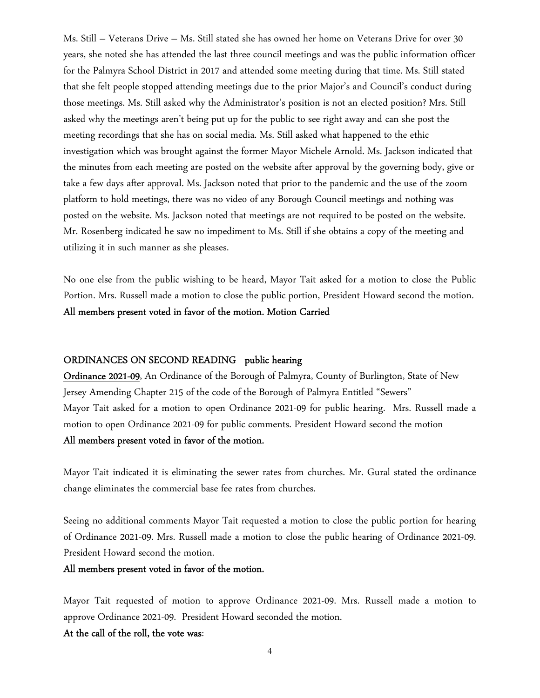Ms. Still – Veterans Drive – Ms. Still stated she has owned her home on Veterans Drive for over 30 years, she noted she has attended the last three council meetings and was the public information officer for the Palmyra School District in 2017 and attended some meeting during that time. Ms. Still stated that she felt people stopped attending meetings due to the prior Major's and Council's conduct during those meetings. Ms. Still asked why the Administrator's position is not an elected position? Mrs. Still asked why the meetings aren't being put up for the public to see right away and can she post the meeting recordings that she has on social media. Ms. Still asked what happened to the ethic investigation which was brought against the former Mayor Michele Arnold. Ms. Jackson indicated that the minutes from each meeting are posted on the website after approval by the governing body, give or take a few days after approval. Ms. Jackson noted that prior to the pandemic and the use of the zoom platform to hold meetings, there was no video of any Borough Council meetings and nothing was posted on the website. Ms. Jackson noted that meetings are not required to be posted on the website. Mr. Rosenberg indicated he saw no impediment to Ms. Still if she obtains a copy of the meeting and utilizing it in such manner as she pleases.

No one else from the public wishing to be heard, Mayor Tait asked for a motion to close the Public Portion. Mrs. Russell made a motion to close the public portion, President Howard second the motion. All members present voted in favor of the motion. Motion Carried

### ORDINANCES ON SECOND READING public hearing

Ordinance 2021-09, An Ordinance of the Borough of Palmyra, County of Burlington, State of New Jersey Amending Chapter 215 of the code of the Borough of Palmyra Entitled "Sewers" Mayor Tait asked for a motion to open Ordinance 2021-09 for public hearing. Mrs. Russell made a motion to open Ordinance 2021-09 for public comments. President Howard second the motion All members present voted in favor of the motion.

Mayor Tait indicated it is eliminating the sewer rates from churches. Mr. Gural stated the ordinance change eliminates the commercial base fee rates from churches.

Seeing no additional comments Mayor Tait requested a motion to close the public portion for hearing of Ordinance 2021-09. Mrs. Russell made a motion to close the public hearing of Ordinance 2021-09. President Howard second the motion.

### All members present voted in favor of the motion.

Mayor Tait requested of motion to approve Ordinance 2021-09. Mrs. Russell made a motion to approve Ordinance 2021-09. President Howard seconded the motion.

#### At the call of the roll, the vote was: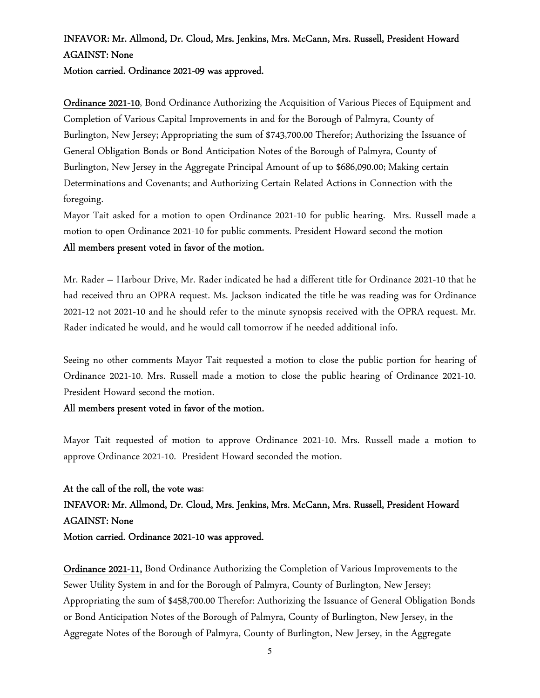# INFAVOR: Mr. Allmond, Dr. Cloud, Mrs. Jenkins, Mrs. McCann, Mrs. Russell, President Howard AGAINST: None

Motion carried. Ordinance 2021-09 was approved.

Ordinance 2021-10, Bond Ordinance Authorizing the Acquisition of Various Pieces of Equipment and Completion of Various Capital Improvements in and for the Borough of Palmyra, County of Burlington, New Jersey; Appropriating the sum of \$743,700.00 Therefor; Authorizing the Issuance of General Obligation Bonds or Bond Anticipation Notes of the Borough of Palmyra, County of Burlington, New Jersey in the Aggregate Principal Amount of up to \$686,090.00; Making certain Determinations and Covenants; and Authorizing Certain Related Actions in Connection with the foregoing.

Mayor Tait asked for a motion to open Ordinance 2021-10 for public hearing. Mrs. Russell made a motion to open Ordinance 2021-10 for public comments. President Howard second the motion All members present voted in favor of the motion.

Mr. Rader – Harbour Drive, Mr. Rader indicated he had a different title for Ordinance 2021-10 that he had received thru an OPRA request. Ms. Jackson indicated the title he was reading was for Ordinance 2021-12 not 2021-10 and he should refer to the minute synopsis received with the OPRA request. Mr. Rader indicated he would, and he would call tomorrow if he needed additional info.

Seeing no other comments Mayor Tait requested a motion to close the public portion for hearing of Ordinance 2021-10. Mrs. Russell made a motion to close the public hearing of Ordinance 2021-10. President Howard second the motion.

## All members present voted in favor of the motion.

Mayor Tait requested of motion to approve Ordinance 2021-10. Mrs. Russell made a motion to approve Ordinance 2021-10. President Howard seconded the motion.

At the call of the roll, the vote was: INFAVOR: Mr. Allmond, Dr. Cloud, Mrs. Jenkins, Mrs. McCann, Mrs. Russell, President Howard AGAINST: None Motion carried. Ordinance 2021-10 was approved.

Ordinance 2021-11, Bond Ordinance Authorizing the Completion of Various Improvements to the Sewer Utility System in and for the Borough of Palmyra, County of Burlington, New Jersey; Appropriating the sum of \$458,700.00 Therefor: Authorizing the Issuance of General Obligation Bonds or Bond Anticipation Notes of the Borough of Palmyra, County of Burlington, New Jersey, in the Aggregate Notes of the Borough of Palmyra, County of Burlington, New Jersey, in the Aggregate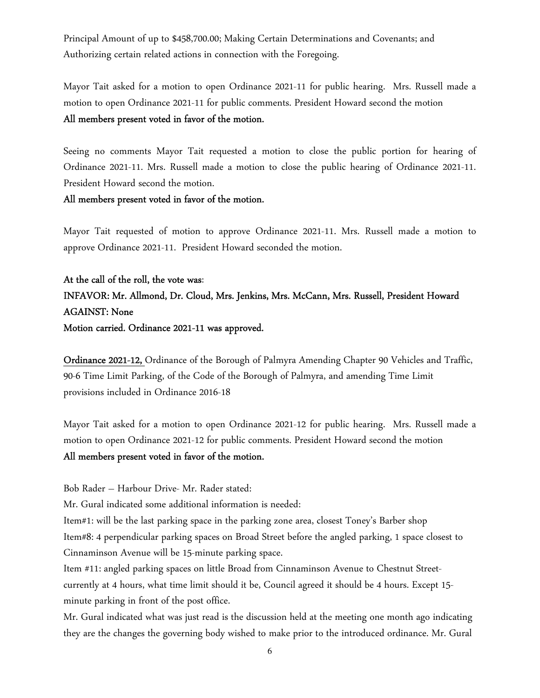Principal Amount of up to \$458,700.00; Making Certain Determinations and Covenants; and Authorizing certain related actions in connection with the Foregoing.

Mayor Tait asked for a motion to open Ordinance 2021-11 for public hearing. Mrs. Russell made a motion to open Ordinance 2021-11 for public comments. President Howard second the motion All members present voted in favor of the motion.

Seeing no comments Mayor Tait requested a motion to close the public portion for hearing of Ordinance 2021-11. Mrs. Russell made a motion to close the public hearing of Ordinance 2021-11. President Howard second the motion.

### All members present voted in favor of the motion.

Mayor Tait requested of motion to approve Ordinance 2021-11. Mrs. Russell made a motion to approve Ordinance 2021-11. President Howard seconded the motion.

At the call of the roll, the vote was: INFAVOR: Mr. Allmond, Dr. Cloud, Mrs. Jenkins, Mrs. McCann, Mrs. Russell, President Howard AGAINST: None Motion carried. Ordinance 2021-11 was approved.

Ordinance 2021-12, Ordinance of the Borough of Palmyra Amending Chapter 90 Vehicles and Traffic, 90-6 Time Limit Parking, of the Code of the Borough of Palmyra, and amending Time Limit provisions included in Ordinance 2016-18

Mayor Tait asked for a motion to open Ordinance 2021-12 for public hearing. Mrs. Russell made a motion to open Ordinance 2021-12 for public comments. President Howard second the motion All members present voted in favor of the motion.

Bob Rader – Harbour Drive- Mr. Rader stated:

Mr. Gural indicated some additional information is needed:

Item#1: will be the last parking space in the parking zone area, closest Toney's Barber shop Item#8: 4 perpendicular parking spaces on Broad Street before the angled parking, 1 space closest to Cinnaminson Avenue will be 15-minute parking space.

Item #11: angled parking spaces on little Broad from Cinnaminson Avenue to Chestnut Streetcurrently at 4 hours, what time limit should it be, Council agreed it should be 4 hours. Except 15 minute parking in front of the post office.

Mr. Gural indicated what was just read is the discussion held at the meeting one month ago indicating they are the changes the governing body wished to make prior to the introduced ordinance. Mr. Gural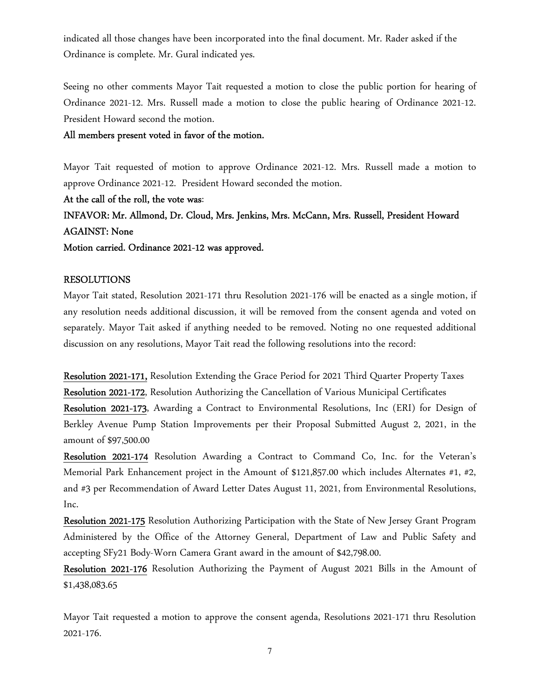indicated all those changes have been incorporated into the final document. Mr. Rader asked if the Ordinance is complete. Mr. Gural indicated yes.

Seeing no other comments Mayor Tait requested a motion to close the public portion for hearing of Ordinance 2021-12. Mrs. Russell made a motion to close the public hearing of Ordinance 2021-12. President Howard second the motion.

All members present voted in favor of the motion.

Mayor Tait requested of motion to approve Ordinance 2021-12. Mrs. Russell made a motion to approve Ordinance 2021-12. President Howard seconded the motion.

At the call of the roll, the vote was:

INFAVOR: Mr. Allmond, Dr. Cloud, Mrs. Jenkins, Mrs. McCann, Mrs. Russell, President Howard AGAINST: None

Motion carried. Ordinance 2021-12 was approved.

## RESOLUTIONS

Mayor Tait stated, Resolution 2021-171 thru Resolution 2021-176 will be enacted as a single motion, if any resolution needs additional discussion, it will be removed from the consent agenda and voted on separately. Mayor Tait asked if anything needed to be removed. Noting no one requested additional discussion on any resolutions, Mayor Tait read the following resolutions into the record:

Resolution 2021-171, Resolution Extending the Grace Period for 2021 Third Quarter Property Taxes Resolution 2021-172, Resolution Authorizing the Cancellation of Various Municipal Certificates Resolution 2021-173, Awarding a Contract to Environmental Resolutions, Inc (ERI) for Design of Berkley Avenue Pump Station Improvements per their Proposal Submitted August 2, 2021, in the amount of \$97,500.00

Resolution 2021-174 Resolution Awarding a Contract to Command Co, Inc. for the Veteran's Memorial Park Enhancement project in the Amount of \$121,857.00 which includes Alternates #1, #2, and #3 per Recommendation of Award Letter Dates August 11, 2021, from Environmental Resolutions, Inc.

Resolution 2021-175 Resolution Authorizing Participation with the State of New Jersey Grant Program Administered by the Office of the Attorney General, Department of Law and Public Safety and accepting SFy21 Body-Worn Camera Grant award in the amount of \$42,798.00.

Resolution 2021-176 Resolution Authorizing the Payment of August 2021 Bills in the Amount of \$1,438,083.65

Mayor Tait requested a motion to approve the consent agenda, Resolutions 2021-171 thru Resolution 2021-176.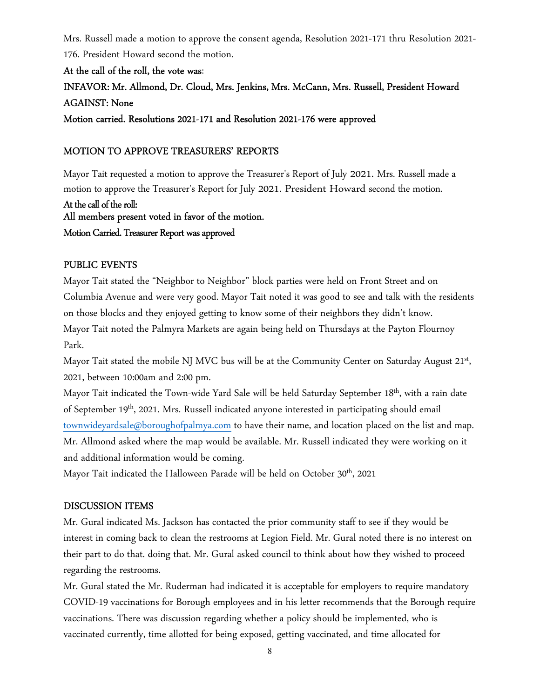Mrs. Russell made a motion to approve the consent agenda, Resolution 2021-171 thru Resolution 2021- 176. President Howard second the motion.

At the call of the roll, the vote was: INFAVOR: Mr. Allmond, Dr. Cloud, Mrs. Jenkins, Mrs. McCann, Mrs. Russell, President Howard AGAINST: None Motion carried. Resolutions 2021-171 and Resolution 2021-176 were approved

## MOTION TO APPROVE TREASURERS' REPORTS

Mayor Tait requested a motion to approve the Treasurer's Report of July 2021. Mrs. Russell made a motion to approve the Treasurer's Report for July 2021. President Howard second the motion.

At the call of the roll: All members present voted in favor of the motion. Motion Carried. Treasurer Report was approved

### PUBLIC EVENTS

Mayor Tait stated the "Neighbor to Neighbor" block parties were held on Front Street and on Columbia Avenue and were very good. Mayor Tait noted it was good to see and talk with the residents on those blocks and they enjoyed getting to know some of their neighbors they didn't know. Mayor Tait noted the Palmyra Markets are again being held on Thursdays at the Payton Flournoy Park.

Mayor Tait stated the mobile NJ MVC bus will be at the Community Center on Saturday August 21st, 2021, between 10:00am and 2:00 pm.

Mayor Tait indicated the Town-wide Yard Sale will be held Saturday September 18<sup>th</sup>, with a rain date of September 19<sup>th</sup>, 2021. Mrs. Russell indicated anyone interested in participating should email townwideyardsale@boroughofpalmya.com to have their name, and location placed on the list and map. Mr. Allmond asked where the map would be available. Mr. Russell indicated they were working on it and additional information would be coming.

Mayor Tait indicated the Halloween Parade will be held on October 30<sup>th</sup>, 2021

### DISCUSSION ITEMS

Mr. Gural indicated Ms. Jackson has contacted the prior community staff to see if they would be interest in coming back to clean the restrooms at Legion Field. Mr. Gural noted there is no interest on their part to do that. doing that. Mr. Gural asked council to think about how they wished to proceed regarding the restrooms.

Mr. Gural stated the Mr. Ruderman had indicated it is acceptable for employers to require mandatory COVID-19 vaccinations for Borough employees and in his letter recommends that the Borough require vaccinations. There was discussion regarding whether a policy should be implemented, who is vaccinated currently, time allotted for being exposed, getting vaccinated, and time allocated for

8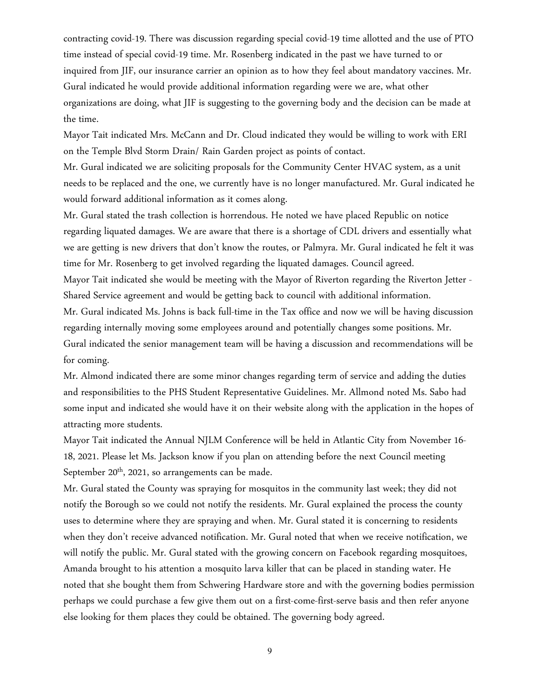contracting covid-19. There was discussion regarding special covid-19 time allotted and the use of PTO time instead of special covid-19 time. Mr. Rosenberg indicated in the past we have turned to or inquired from JIF, our insurance carrier an opinion as to how they feel about mandatory vaccines. Mr. Gural indicated he would provide additional information regarding were we are, what other organizations are doing, what JIF is suggesting to the governing body and the decision can be made at the time.

Mayor Tait indicated Mrs. McCann and Dr. Cloud indicated they would be willing to work with ERI on the Temple Blvd Storm Drain/ Rain Garden project as points of contact.

Mr. Gural indicated we are soliciting proposals for the Community Center HVAC system, as a unit needs to be replaced and the one, we currently have is no longer manufactured. Mr. Gural indicated he would forward additional information as it comes along.

Mr. Gural stated the trash collection is horrendous. He noted we have placed Republic on notice regarding liquated damages. We are aware that there is a shortage of CDL drivers and essentially what we are getting is new drivers that don't know the routes, or Palmyra. Mr. Gural indicated he felt it was time for Mr. Rosenberg to get involved regarding the liquated damages. Council agreed.

Mayor Tait indicated she would be meeting with the Mayor of Riverton regarding the Riverton Jetter - Shared Service agreement and would be getting back to council with additional information.

Mr. Gural indicated Ms. Johns is back full-time in the Tax office and now we will be having discussion regarding internally moving some employees around and potentially changes some positions. Mr. Gural indicated the senior management team will be having a discussion and recommendations will be for coming.

Mr. Almond indicated there are some minor changes regarding term of service and adding the duties and responsibilities to the PHS Student Representative Guidelines. Mr. Allmond noted Ms. Sabo had some input and indicated she would have it on their website along with the application in the hopes of attracting more students.

Mayor Tait indicated the Annual NJLM Conference will be held in Atlantic City from November 16- 18, 2021. Please let Ms. Jackson know if you plan on attending before the next Council meeting September  $20<sup>th</sup>$ , 2021, so arrangements can be made.

Mr. Gural stated the County was spraying for mosquitos in the community last week; they did not notify the Borough so we could not notify the residents. Mr. Gural explained the process the county uses to determine where they are spraying and when. Mr. Gural stated it is concerning to residents when they don't receive advanced notification. Mr. Gural noted that when we receive notification, we will notify the public. Mr. Gural stated with the growing concern on Facebook regarding mosquitoes, Amanda brought to his attention a mosquito larva killer that can be placed in standing water. He noted that she bought them from Schwering Hardware store and with the governing bodies permission perhaps we could purchase a few give them out on a first-come-first-serve basis and then refer anyone else looking for them places they could be obtained. The governing body agreed.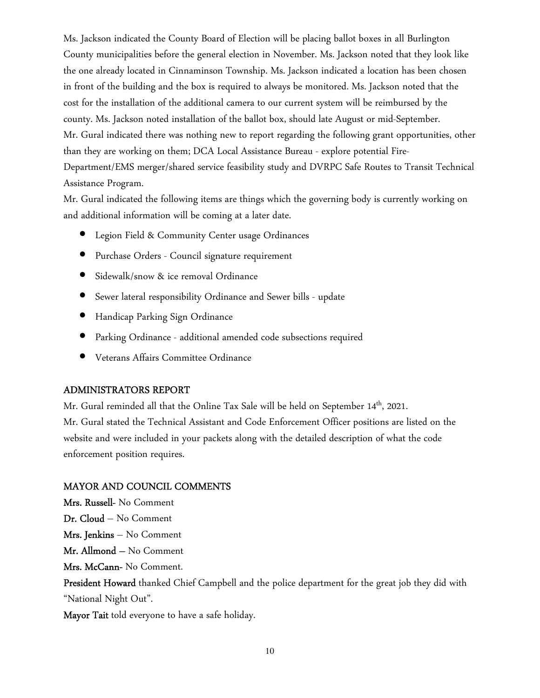Ms. Jackson indicated the County Board of Election will be placing ballot boxes in all Burlington County municipalities before the general election in November. Ms. Jackson noted that they look like the one already located in Cinnaminson Township. Ms. Jackson indicated a location has been chosen in front of the building and the box is required to always be monitored. Ms. Jackson noted that the cost for the installation of the additional camera to our current system will be reimbursed by the county. Ms. Jackson noted installation of the ballot box, should late August or mid-September. Mr. Gural indicated there was nothing new to report regarding the following grant opportunities, other than they are working on them; DCA Local Assistance Bureau - explore potential Fire-Department/EMS merger/shared service feasibility study and DVRPC Safe Routes to Transit Technical Assistance Program.

Mr. Gural indicated the following items are things which the governing body is currently working on and additional information will be coming at a later date.

- Legion Field & Community Center usage Ordinances
- Purchase Orders Council signature requirement
- Sidewalk/snow & ice removal Ordinance
- Sewer lateral responsibility Ordinance and Sewer bills update
- Handicap Parking Sign Ordinance
- Parking Ordinance additional amended code subsections required
- Veterans Affairs Committee Ordinance

## ADMINISTRATORS REPORT

Mr. Gural reminded all that the Online Tax Sale will be held on September 14<sup>th</sup>, 2021. Mr. Gural stated the Technical Assistant and Code Enforcement Officer positions are listed on the website and were included in your packets along with the detailed description of what the code enforcement position requires.

## MAYOR AND COUNCIL COMMENTS

Mrs. Russell- No Comment Dr. Cloud – No Comment Mrs. Jenkins – No Comment Mr. Allmond – No Comment Mrs. McCann- No Comment. President Howard thanked Chief Campbell and the police department for the great job they did with "National Night Out". Mayor Tait told everyone to have a safe holiday.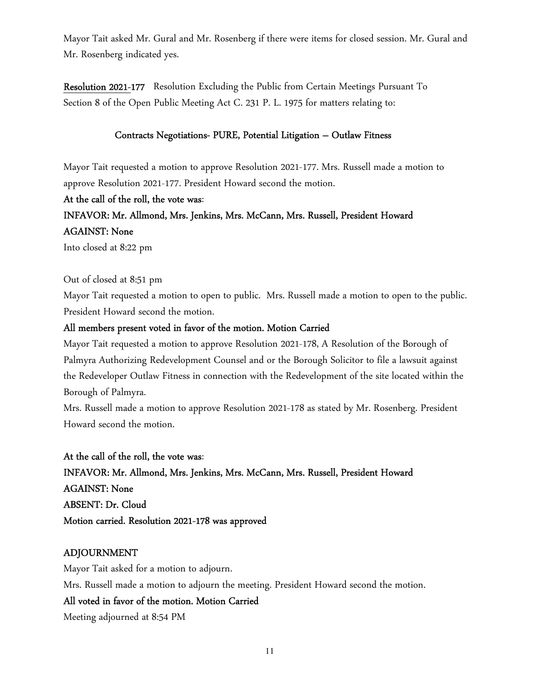Mayor Tait asked Mr. Gural and Mr. Rosenberg if there were items for closed session. Mr. Gural and Mr. Rosenberg indicated yes.

Resolution 2021-177 Resolution Excluding the Public from Certain Meetings Pursuant To Section 8 of the Open Public Meeting Act C. 231 P. L. 1975 for matters relating to:

### Contracts Negotiations- PURE, Potential Litigation – Outlaw Fitness

Mayor Tait requested a motion to approve Resolution 2021-177. Mrs. Russell made a motion to approve Resolution 2021-177. President Howard second the motion.

### At the call of the roll, the vote was:

## INFAVOR: Mr. Allmond, Mrs. Jenkins, Mrs. McCann, Mrs. Russell, President Howard AGAINST: None

Into closed at 8:22 pm

Out of closed at 8:51 pm

Mayor Tait requested a motion to open to public. Mrs. Russell made a motion to open to the public. President Howard second the motion.

### All members present voted in favor of the motion. Motion Carried

Mayor Tait requested a motion to approve Resolution 2021-178, A Resolution of the Borough of Palmyra Authorizing Redevelopment Counsel and or the Borough Solicitor to file a lawsuit against the Redeveloper Outlaw Fitness in connection with the Redevelopment of the site located within the Borough of Palmyra.

Mrs. Russell made a motion to approve Resolution 2021-178 as stated by Mr. Rosenberg. President Howard second the motion.

At the call of the roll, the vote was: INFAVOR: Mr. Allmond, Mrs. Jenkins, Mrs. McCann, Mrs. Russell, President Howard AGAINST: None ABSENT: Dr. Cloud Motion carried. Resolution 2021-178 was approved

## ADJOURNMENT

Mayor Tait asked for a motion to adjourn. Mrs. Russell made a motion to adjourn the meeting. President Howard second the motion.

## All voted in favor of the motion. Motion Carried

Meeting adjourned at 8:54 PM